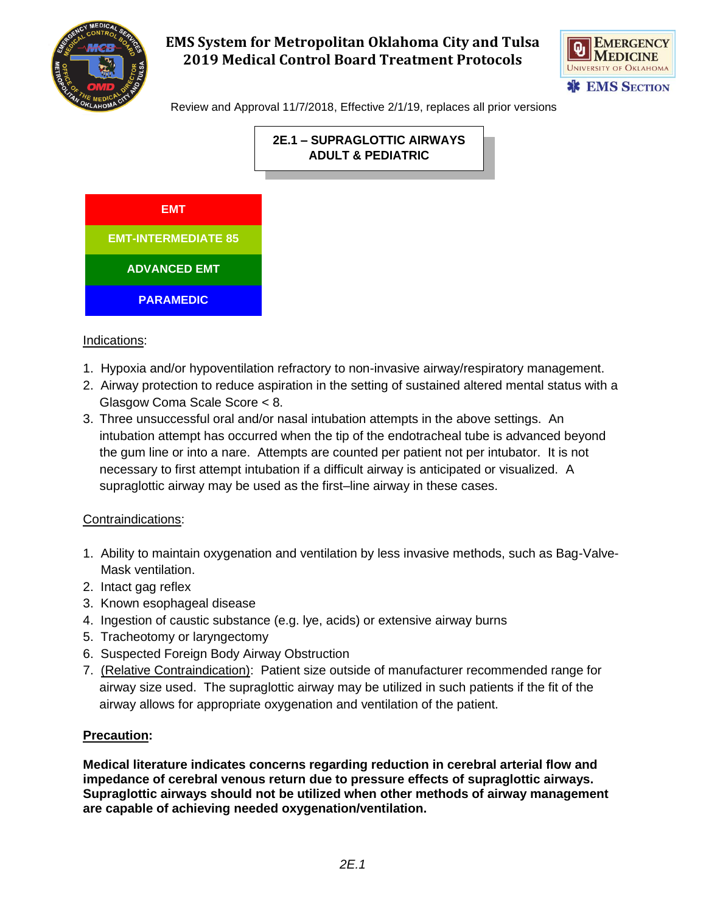



Review and Approval 11/7/2018, Effective 2/1/19, replaces all prior versions





#### Indications:

- 1. Hypoxia and/or hypoventilation refractory to non-invasive airway/respiratory management.
- 2. Airway protection to reduce aspiration in the setting of sustained altered mental status with a Glasgow Coma Scale Score < 8.
- **2E.1 SUPRAGLOTTIC AIRWAYS**<br> **2P.1 SUPRAGLOTTIC AIRWAYS**<br> **2DULT & PEDIATRIC**<br> **2DULT & PEDIATRIC**<br> **2D.1** The setting of sustained is a masal intubation attempts in the all when the tip of the endotracheal<br>
empts are 3. Three unsuccessful oral and/or nasal intubation attempts in the above settings. An intubation attempt has occurred when the tip of the endotracheal tube is advanced beyond the gum line or into a nare. Attempts are counted per patient not per intubator. It is not necessary to first attempt intubation if a difficult airway is anticipated or visualized. A supraglottic airway may be used as the first–line airway in these cases.

#### Contraindications:

- 1. Ability to maintain oxygenation and ventilation by less invasive methods, such as Bag-Valve- Mask ventilation.
- 2. Intact gag reflex
- 3. Known esophageal disease
- 4. Ingestion of caustic substance (e.g. lye, acids) or extensive airway burns
- 5. Tracheotomy or laryngectomy
- 6. Suspected Foreign Body Airway Obstruction
- 7. (Relative Contraindication): Patient size outside of manufacturer recommended range for airway size used. The supraglottic airway may be utilized in such patients if the fit of the airway allows for appropriate oxygenation and ventilation of the patient.

#### **Precaution:**

**Medical literature indicates concerns regarding reduction in cerebral arterial flow and impedance of cerebral venous return due to pressure effects of supraglottic airways. Supraglottic airways should not be utilized when other methods of airway management are capable of achieving needed oxygenation/ventilation.**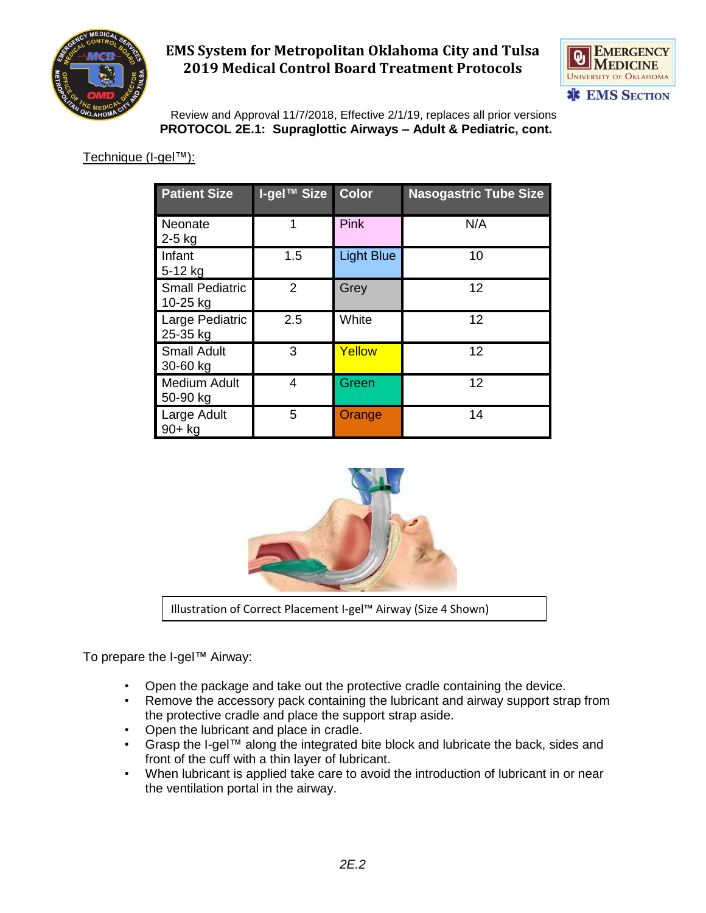



 Review and Approval 11/7/2018, Effective 2/1/19, replaces all prior versions **PROTOCOL 2E.1: Supraglottic Airways – Adult & Pediatric, cont.**

Technique (I-gel™):

| <b>Patient Size</b>                | <b>I-gel™ Size</b> | Color             | <b>Nasogastric Tube Size</b> |
|------------------------------------|--------------------|-------------------|------------------------------|
| Neonate<br>$2-5$ kg                | 1                  | <b>Pink</b>       | N/A                          |
| Infant<br>5-12 kg                  | 1.5                | <b>Light Blue</b> | 10                           |
| <b>Small Pediatric</b><br>10-25 kg | $\overline{2}$     | Grey              | 12                           |
| Large Pediatric<br>25-35 kg        | 2.5                | White             | 12                           |
| <b>Small Adult</b><br>30-60 kg     | 3                  | Yellow            | 12                           |
| <b>Medium Adult</b><br>50-90 kg    | 4                  | Green             | 12                           |
| Large Adult<br>$90+$ kg            | 5                  | Orange            | 14                           |



Illustration of Correct Placement I-gel™ Airway (Size 4 Shown)

To prepare the I-gel™ Airway:

- Open the package and take out the protective cradle containing the device.
- Remove the accessory pack containing the lubricant and airway support strap from the protective cradle and place the support strap aside.
- Open the lubricant and place in cradle.
- Grasp the I-gel™ along the integrated bite block and lubricate the back, sides and front of the cuff with a thin layer of lubricant.
- When lubricant is applied take care to avoid the introduction of lubricant in or near the ventilation portal in the airway.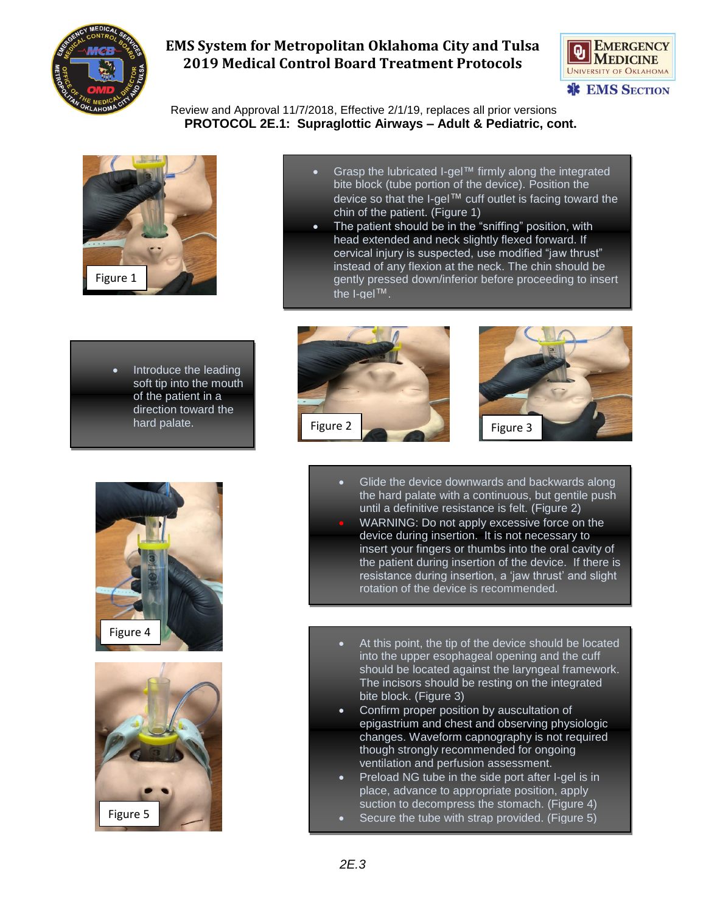



 Review and Approval 11/7/2018, Effective 2/1/19, replaces all prior versions  **PROTOCOL 2E.1: Supraglottic Airways – Adult & Pediatric, cont.**



- Grasp the lubricated I-gel™ firmly along the integrated bite block (tube portion of the device). Position the device so that the I-gel™ cuff outlet is facing toward the chin of the patient. (Figure 1)
- The patient should be in the "sniffing" position, with head extended and neck slightly flexed forward. If cervical injury is suspected, use modified "jaw thrust" instead of any flexion at the neck. The chin should be gently pressed down/inferior before proceeding to insert the I-gel™.
- Introduce the leading soft tip into the mouth of the patient in a direction toward the hard palate.









- Glide the device downwards and backwards along the hard palate with a continuous, but gentile push until a definitive resistance is felt. (Figure 2) • WARNING: Do not apply excessive force on the
- device during insertion. It is not necessary to insert your fingers or thumbs into the oral cavity of the patient during insertion of the device. If there is resistance during insertion, a 'jaw thrust' and slight rotation of the device is recommended.
- At this point, the tip of the device should be located into the upper esophageal opening and the cuff should be located against the laryngeal framework. The incisors should be resting on the integrated bite block. (Figure 3)
- Confirm proper position by auscultation of epigastrium and chest and observing physiologic changes. Waveform capnography is not required though strongly recommended for ongoing ventilation and perfusion assessment.
- Preload NG tube in the side port after I-gel is in place, advance to appropriate position, apply suction to decompress the stomach. (Figure 4)
- Secure the tube with strap provided. (Figure 5)

•